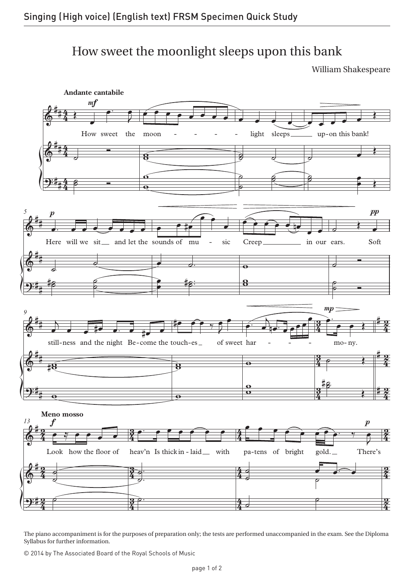## How sweet the moonlight sleeps upon this bank

William Shakespeare



The piano accompaniment is for the purposes of preparation only; the tests are performed unaccompanied in the exam. See the Diploma Syllabus for further information.

© 2014 by The Associated Board of the Royal Schools of Music